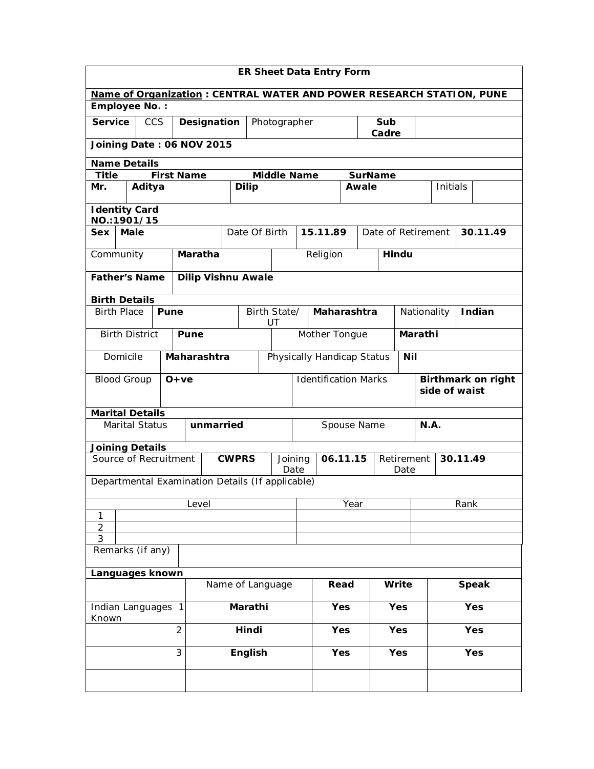| <b>ER Sheet Data Entry Form</b>                                      |                                     |                   |                                                  |              |                             |                             |      |             |              |                    |            |                                            |          |  |          |
|----------------------------------------------------------------------|-------------------------------------|-------------------|--------------------------------------------------|--------------|-----------------------------|-----------------------------|------|-------------|--------------|--------------------|------------|--------------------------------------------|----------|--|----------|
| Name of Organization: CENTRAL WATER AND POWER RESEARCH STATION, PUNE |                                     |                   |                                                  |              |                             |                             |      |             |              |                    |            |                                            |          |  |          |
| <b>Employee No.:</b>                                                 |                                     |                   |                                                  |              |                             |                             |      |             |              |                    |            |                                            |          |  |          |
| <b>Service</b>                                                       | <b>CCS</b>                          |                   | Designation                                      |              | Photographer                |                             |      |             | Sub<br>Cadre |                    |            |                                            |          |  |          |
|                                                                      |                                     |                   | Joining Date: 06 NOV 2015                        |              |                             |                             |      |             |              |                    |            |                                            |          |  |          |
| <b>Name Details</b>                                                  |                                     |                   |                                                  |              |                             |                             |      |             |              |                    |            |                                            |          |  |          |
| <b>Title</b>                                                         |                                     | <b>First Name</b> |                                                  |              |                             | <b>Middle Name</b>          |      |             |              | <b>SurName</b>     |            |                                            |          |  |          |
| Mr.                                                                  | Aditya                              |                   |                                                  |              | <b>Dilip</b>                |                             |      |             |              | Awale              |            |                                            | Initials |  |          |
|                                                                      | <b>Identity Card</b><br>NO.:1901/15 |                   |                                                  |              |                             |                             |      |             |              |                    |            |                                            |          |  |          |
| <b>Sex</b>                                                           | <b>Male</b>                         |                   |                                                  |              | Date Of Birth               |                             |      | 15.11.89    |              | Date of Retirement |            |                                            |          |  | 30.11.49 |
| Community                                                            |                                     |                   | Maratha                                          |              |                             |                             |      | Religion    |              |                    | Hindu      |                                            |          |  |          |
| <b>Father's Name</b>                                                 |                                     |                   | <b>Dilip Vishnu Awale</b>                        |              |                             |                             |      |             |              |                    |            |                                            |          |  |          |
| <b>Birth Details</b>                                                 |                                     |                   |                                                  |              |                             |                             |      |             |              |                    |            |                                            |          |  |          |
| <b>Birth Place</b>                                                   |                                     | Pune              |                                                  |              | Birth State/<br>UT          |                             |      | Maharashtra |              |                    |            | Nationality                                |          |  | Indian   |
| <b>Birth District</b><br>Pune                                        |                                     |                   |                                                  |              |                             | Mother Tongue               |      |             |              | Marathi            |            |                                            |          |  |          |
| Domicile                                                             |                                     |                   | Maharashtra                                      |              | Physically Handicap Status  |                             |      | <b>Nil</b>  |              |                    |            |                                            |          |  |          |
| <b>Blood Group</b>                                                   |                                     | $O+ve$            |                                                  |              | <b>Identification Marks</b> |                             |      |             |              |                    |            | <b>Birthmark on right</b><br>side of waist |          |  |          |
| <b>Marital Details</b>                                               |                                     |                   |                                                  |              |                             |                             |      |             |              |                    |            |                                            |          |  |          |
|                                                                      | <b>Marital Status</b>               |                   | unmarried                                        |              |                             |                             |      |             | Spouse Name  |                    |            | <b>N.A.</b>                                |          |  |          |
| <b>Joining Details</b>                                               |                                     |                   |                                                  |              |                             |                             |      |             |              |                    |            |                                            |          |  |          |
| Source of Recruitment                                                |                                     |                   |                                                  | <b>CWPRS</b> |                             | 06.11.15<br>Joining<br>Date |      |             |              | Retirement<br>Date |            |                                            | 30.11.49 |  |          |
|                                                                      |                                     |                   | Departmental Examination Details (If applicable) |              |                             |                             |      |             |              |                    |            |                                            |          |  |          |
|                                                                      |                                     |                   | Level                                            |              |                             |                             | Year |             |              |                    |            | Rank                                       |          |  |          |
| 1<br>$\overline{2}$                                                  |                                     |                   |                                                  |              |                             |                             |      |             |              |                    |            |                                            |          |  |          |
| 3                                                                    |                                     |                   |                                                  |              |                             |                             |      |             |              |                    |            |                                            |          |  |          |
| Remarks (if any)                                                     |                                     |                   |                                                  |              |                             |                             |      |             |              |                    |            |                                            |          |  |          |
| Languages known                                                      |                                     |                   |                                                  |              |                             |                             |      |             |              |                    |            |                                            |          |  |          |
|                                                                      |                                     |                   |                                                  |              | Name of Language            |                             |      | Read        |              | Write              |            | <b>Speak</b>                               |          |  |          |
| Indian Languages 1<br>Known                                          |                                     |                   |                                                  | Marathi      |                             |                             |      | <b>Yes</b>  |              | <b>Yes</b>         |            |                                            | Yes      |  |          |
| $\overline{2}$                                                       |                                     |                   |                                                  | Hindi        |                             |                             | Yes  |             | Yes          |                    |            | Yes                                        |          |  |          |
|                                                                      |                                     | 3                 |                                                  |              | English                     |                             |      | <b>Yes</b>  |              |                    | <b>Yes</b> |                                            | Yes      |  |          |
|                                                                      |                                     |                   |                                                  |              |                             |                             |      |             |              |                    |            |                                            |          |  |          |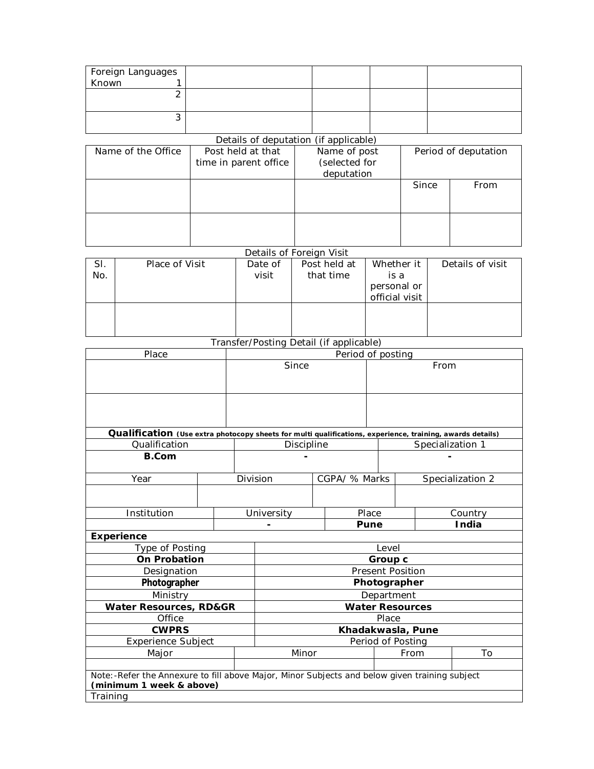| Foreign Languages<br>Known 1 |  |  |
|------------------------------|--|--|
|                              |  |  |
|                              |  |  |
|                              |  |  |
|                              |  |  |
|                              |  |  |

## Details of deputation (if applicable)

| Name of the Office | Post held at that<br>time in parent office | Name of post<br>(selected for<br>deputation | Period of deputation |      |  |
|--------------------|--------------------------------------------|---------------------------------------------|----------------------|------|--|
|                    |                                            |                                             | Since                | From |  |
|                    |                                            |                                             |                      |      |  |

## Details of Foreign Visit

| SI.                                     | Place of Visit | Date of | Post held at | Whether it     | Details of visit |  |  |  |  |  |
|-----------------------------------------|----------------|---------|--------------|----------------|------------------|--|--|--|--|--|
| No.                                     |                | visit   | that time    | is a           |                  |  |  |  |  |  |
|                                         |                |         |              | personal or    |                  |  |  |  |  |  |
|                                         |                |         |              | official visit |                  |  |  |  |  |  |
|                                         |                |         |              |                |                  |  |  |  |  |  |
|                                         |                |         |              |                |                  |  |  |  |  |  |
|                                         |                |         |              |                |                  |  |  |  |  |  |
| Transfer/Posting Detail (if applicable) |                |         |              |                |                  |  |  |  |  |  |
|                                         |                |         |              |                |                  |  |  |  |  |  |

| Place                                                                                                     | Period of posting                                                                             |  |                         |      |               |                   |                  |                  |  |
|-----------------------------------------------------------------------------------------------------------|-----------------------------------------------------------------------------------------------|--|-------------------------|------|---------------|-------------------|------------------|------------------|--|
|                                                                                                           | Since                                                                                         |  |                         |      | From          |                   |                  |                  |  |
|                                                                                                           |                                                                                               |  |                         |      |               |                   |                  |                  |  |
| Qualification (Use extra photocopy sheets for multi qualifications, experience, training, awards details) |                                                                                               |  |                         |      |               |                   |                  |                  |  |
| Qualification                                                                                             |                                                                                               |  | Discipline              |      |               |                   | Specialization 1 |                  |  |
| <b>B.Com</b>                                                                                              |                                                                                               |  |                         |      |               |                   |                  |                  |  |
| Year                                                                                                      |                                                                                               |  | Division                |      | CGPA/ % Marks |                   |                  | Specialization 2 |  |
|                                                                                                           |                                                                                               |  |                         |      |               |                   |                  |                  |  |
| Institution                                                                                               |                                                                                               |  | University              |      | Place         |                   |                  | Country          |  |
|                                                                                                           |                                                                                               |  |                         | Pune |               |                   | India            |                  |  |
| <b>Experience</b>                                                                                         |                                                                                               |  |                         |      |               |                   |                  |                  |  |
| Type of Posting                                                                                           |                                                                                               |  | Level                   |      |               |                   |                  |                  |  |
| <b>On Probation</b>                                                                                       |                                                                                               |  | Group c                 |      |               |                   |                  |                  |  |
| Designation                                                                                               |                                                                                               |  | <b>Present Position</b> |      |               |                   |                  |                  |  |
| Photographer                                                                                              |                                                                                               |  | Photographer            |      |               |                   |                  |                  |  |
| Ministry                                                                                                  |                                                                                               |  | Department              |      |               |                   |                  |                  |  |
| <b>Water Resources, RD&amp;GR</b>                                                                         |                                                                                               |  | <b>Water Resources</b>  |      |               |                   |                  |                  |  |
| Office                                                                                                    |                                                                                               |  | Place                   |      |               |                   |                  |                  |  |
| <b>CWPRS</b>                                                                                              |                                                                                               |  | Khadakwasla, Pune       |      |               |                   |                  |                  |  |
| Experience Subject                                                                                        |                                                                                               |  |                         |      |               | Period of Posting |                  |                  |  |
| Major                                                                                                     |                                                                                               |  | Minor                   |      |               |                   | From             | To               |  |
|                                                                                                           |                                                                                               |  |                         |      |               |                   |                  |                  |  |
| (minimum 1 week & above)                                                                                  | Note:-Refer the Annexure to fill above Major, Minor Subjects and below given training subject |  |                         |      |               |                   |                  |                  |  |
| Training                                                                                                  |                                                                                               |  |                         |      |               |                   |                  |                  |  |